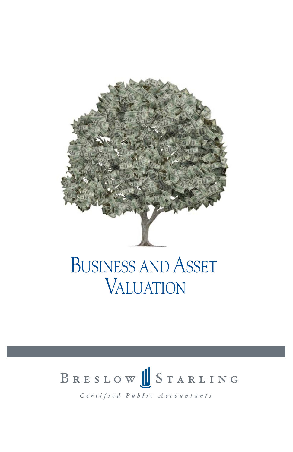

### BUSINESS AND ASSET VALUATION

# BRESLOW STARLING

Certified Public Accountants